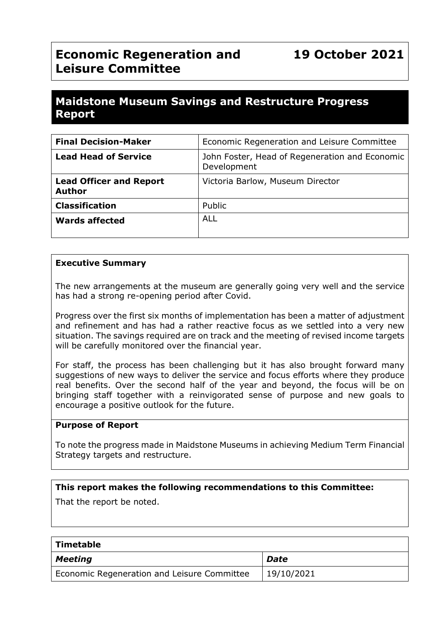# **Economic Regeneration and Leisure Committee**

# **Maidstone Museum Savings and Restructure Progress Report**

| <b>Final Decision-Maker</b>                     | Economic Regeneration and Leisure Committee                   |
|-------------------------------------------------|---------------------------------------------------------------|
| <b>Lead Head of Service</b>                     | John Foster, Head of Regeneration and Economic<br>Development |
| <b>Lead Officer and Report</b><br><b>Author</b> | Victoria Barlow, Museum Director                              |
| <b>Classification</b>                           | Public                                                        |
| <b>Wards affected</b>                           | <b>ALL</b>                                                    |

#### **Executive Summary**

The new arrangements at the museum are generally going very well and the service has had a strong re-opening period after Covid.

Progress over the first six months of implementation has been a matter of adjustment and refinement and has had a rather reactive focus as we settled into a very new situation. The savings required are on track and the meeting of revised income targets will be carefully monitored over the financial year.

For staff, the process has been challenging but it has also brought forward many suggestions of new ways to deliver the service and focus efforts where they produce real benefits. Over the second half of the year and beyond, the focus will be on bringing staff together with a reinvigorated sense of purpose and new goals to encourage a positive outlook for the future.

#### **Purpose of Report**

To note the progress made in Maidstone Museums in achieving Medium Term Financial Strategy targets and restructure.

#### **This report makes the following recommendations to this Committee:**

That the report be noted.

| Timetable                                   |            |  |  |  |
|---------------------------------------------|------------|--|--|--|
| <b>Meeting</b>                              | Date       |  |  |  |
| Economic Regeneration and Leisure Committee | 19/10/2021 |  |  |  |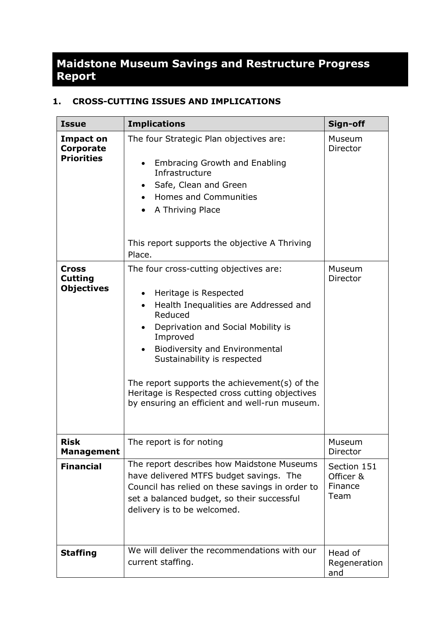# **Maidstone Museum Savings and Restructure Progress Report**

# **1. CROSS-CUTTING ISSUES AND IMPLICATIONS**

| <b>Issue</b>                                                                                                     | <b>Implications</b>                                                                                                                                                                                                                                                                                                                                                                                                                                                                                                                                                                                                                                                                                                   | Sign-off                                    |
|------------------------------------------------------------------------------------------------------------------|-----------------------------------------------------------------------------------------------------------------------------------------------------------------------------------------------------------------------------------------------------------------------------------------------------------------------------------------------------------------------------------------------------------------------------------------------------------------------------------------------------------------------------------------------------------------------------------------------------------------------------------------------------------------------------------------------------------------------|---------------------------------------------|
| <b>Impact on</b><br><b>Corporate</b><br><b>Priorities</b><br><b>Cross</b><br><b>Cutting</b><br><b>Objectives</b> | The four Strategic Plan objectives are:<br><b>Embracing Growth and Enabling</b><br>$\bullet$<br>Infrastructure<br>Safe, Clean and Green<br>$\bullet$<br>Homes and Communities<br>$\bullet$<br>A Thriving Place<br>This report supports the objective A Thriving<br>Place.<br>The four cross-cutting objectives are:<br>Heritage is Respected<br>Health Inequalities are Addressed and<br>$\bullet$<br>Reduced<br>Deprivation and Social Mobility is<br>$\bullet$<br>Improved<br><b>Biodiversity and Environmental</b><br>$\bullet$<br>Sustainability is respected<br>The report supports the achievement(s) of the<br>Heritage is Respected cross cutting objectives<br>by ensuring an efficient and well-run museum. | Museum<br>Director<br>Museum<br>Director    |
| <b>Risk</b><br><b>Management</b>                                                                                 | The report is for noting                                                                                                                                                                                                                                                                                                                                                                                                                                                                                                                                                                                                                                                                                              | Museum<br>Director                          |
| <b>Financial</b>                                                                                                 | The report describes how Maidstone Museums<br>have delivered MTFS budget savings. The<br>Council has relied on these savings in order to<br>set a balanced budget, so their successful<br>delivery is to be welcomed.                                                                                                                                                                                                                                                                                                                                                                                                                                                                                                 | Section 151<br>Officer &<br>Finance<br>Team |
| <b>Staffing</b>                                                                                                  | We will deliver the recommendations with our<br>current staffing.                                                                                                                                                                                                                                                                                                                                                                                                                                                                                                                                                                                                                                                     | Head of<br>Regeneration<br>and              |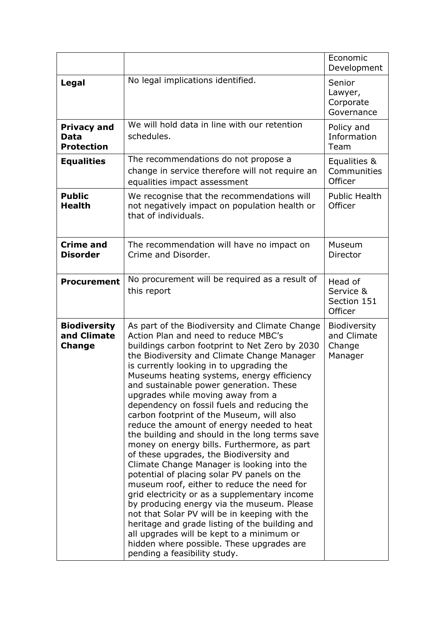|                                                     |                                                                                                                                                                                                                                                                                                                                                                                                                                                                                                                                                                                                                                                                                                                                                                                                                                                                                                                                                                                                                                                                                                                                | Economic<br>Development                          |
|-----------------------------------------------------|--------------------------------------------------------------------------------------------------------------------------------------------------------------------------------------------------------------------------------------------------------------------------------------------------------------------------------------------------------------------------------------------------------------------------------------------------------------------------------------------------------------------------------------------------------------------------------------------------------------------------------------------------------------------------------------------------------------------------------------------------------------------------------------------------------------------------------------------------------------------------------------------------------------------------------------------------------------------------------------------------------------------------------------------------------------------------------------------------------------------------------|--------------------------------------------------|
| <b>Legal</b>                                        | No legal implications identified.                                                                                                                                                                                                                                                                                                                                                                                                                                                                                                                                                                                                                                                                                                                                                                                                                                                                                                                                                                                                                                                                                              | Senior<br>Lawyer,<br>Corporate<br>Governance     |
| <b>Privacy and</b><br>Data<br><b>Protection</b>     | We will hold data in line with our retention<br>schedules.                                                                                                                                                                                                                                                                                                                                                                                                                                                                                                                                                                                                                                                                                                                                                                                                                                                                                                                                                                                                                                                                     | Policy and<br>Information<br>Team                |
| <b>Equalities</b>                                   | The recommendations do not propose a<br>change in service therefore will not require an<br>equalities impact assessment                                                                                                                                                                                                                                                                                                                                                                                                                                                                                                                                                                                                                                                                                                                                                                                                                                                                                                                                                                                                        | Equalities &<br>Communities<br>Officer           |
| <b>Public</b><br><b>Health</b>                      | We recognise that the recommendations will<br>not negatively impact on population health or<br>that of individuals.                                                                                                                                                                                                                                                                                                                                                                                                                                                                                                                                                                                                                                                                                                                                                                                                                                                                                                                                                                                                            | <b>Public Health</b><br>Officer                  |
| <b>Crime and</b><br><b>Disorder</b>                 | The recommendation will have no impact on<br>Crime and Disorder.                                                                                                                                                                                                                                                                                                                                                                                                                                                                                                                                                                                                                                                                                                                                                                                                                                                                                                                                                                                                                                                               | Museum<br>Director                               |
| <b>Procurement</b>                                  | No procurement will be required as a result of<br>this report                                                                                                                                                                                                                                                                                                                                                                                                                                                                                                                                                                                                                                                                                                                                                                                                                                                                                                                                                                                                                                                                  | Head of<br>Service &<br>Section 151<br>Officer   |
| <b>Biodiversity</b><br>and Climate<br><b>Change</b> | As part of the Biodiversity and Climate Change<br>Action Plan and need to reduce MBC's<br>buildings carbon footprint to Net Zero by 2030<br>the Biodiversity and Climate Change Manager<br>is currently looking in to upgrading the<br>Museums heating systems, energy efficiency<br>and sustainable power generation. These<br>upgrades while moving away from a<br>dependency on fossil fuels and reducing the<br>carbon footprint of the Museum, will also<br>reduce the amount of energy needed to heat<br>the building and should in the long terms save<br>money on energy bills. Furthermore, as part<br>of these upgrades, the Biodiversity and<br>Climate Change Manager is looking into the<br>potential of placing solar PV panels on the<br>museum roof, either to reduce the need for<br>grid electricity or as a supplementary income<br>by producing energy via the museum. Please<br>not that Solar PV will be in keeping with the<br>heritage and grade listing of the building and<br>all upgrades will be kept to a minimum or<br>hidden where possible. These upgrades are<br>pending a feasibility study. | Biodiversity<br>and Climate<br>Change<br>Manager |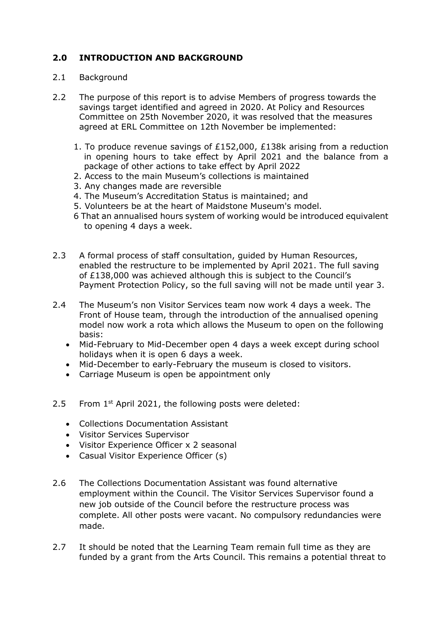# **2.0 INTRODUCTION AND BACKGROUND**

#### 2.1 Background

- 2.2 The purpose of this report is to advise Members of progress towards the savings target identified and agreed in 2020. At Policy and Resources Committee on 25th November 2020, it was resolved that the measures agreed at ERL Committee on 12th November be implemented:
	- 1. To produce revenue savings of £152,000, £138k arising from a reduction in opening hours to take effect by April 2021 and the balance from a package of other actions to take effect by April 2022
	- 2. Access to the main Museum's collections is maintained
	- 3. Any changes made are reversible
	- 4. The Museum's Accreditation Status is maintained; and
	- 5. Volunteers be at the heart of Maidstone Museum's model.
	- 6 That an annualised hours system of working would be introduced equivalent to opening 4 days a week.
- 2.3 A formal process of staff consultation, guided by Human Resources, enabled the restructure to be implemented by April 2021. The full saving of £138,000 was achieved although this is subject to the Council's Payment Protection Policy, so the full saving will not be made until year 3.
- 2.4 The Museum's non Visitor Services team now work 4 days a week. The Front of House team, through the introduction of the annualised opening model now work a rota which allows the Museum to open on the following basis:
	- Mid-February to Mid-December open 4 days a week except during school holidays when it is open 6 days a week.
	- Mid-December to early-February the museum is closed to visitors.
	- Carriage Museum is open be appointment only
- 2.5 From 1<sup>st</sup> April 2021, the following posts were deleted:
	- Collections Documentation Assistant
	- Visitor Services Supervisor
	- Visitor Experience Officer x 2 seasonal
	- Casual Visitor Experience Officer (s)
- 2.6 The Collections Documentation Assistant was found alternative employment within the Council. The Visitor Services Supervisor found a new job outside of the Council before the restructure process was complete. All other posts were vacant. No compulsory redundancies were made.
- 2.7 It should be noted that the Learning Team remain full time as they are funded by a grant from the Arts Council. This remains a potential threat to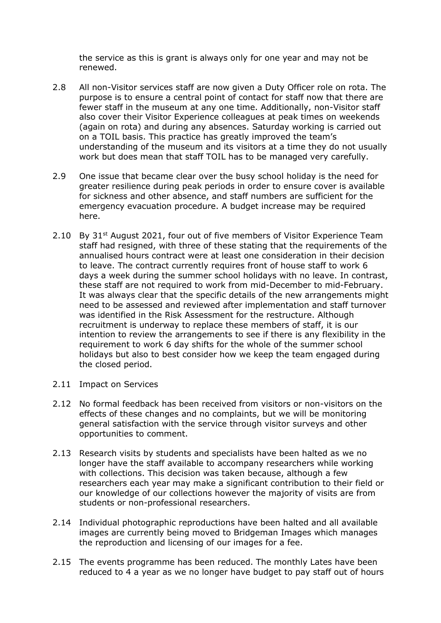the service as this is grant is always only for one year and may not be renewed.

- 2.8 All non-Visitor services staff are now given a Duty Officer role on rota. The purpose is to ensure a central point of contact for staff now that there are fewer staff in the museum at any one time. Additionally, non-Visitor staff also cover their Visitor Experience colleagues at peak times on weekends (again on rota) and during any absences. Saturday working is carried out on a TOIL basis. This practice has greatly improved the team's understanding of the museum and its visitors at a time they do not usually work but does mean that staff TOIL has to be managed very carefully.
- 2.9 One issue that became clear over the busy school holiday is the need for greater resilience during peak periods in order to ensure cover is available for sickness and other absence, and staff numbers are sufficient for the emergency evacuation procedure. A budget increase may be required here.
- 2.10 By  $31^{st}$  August 2021, four out of five members of Visitor Experience Team staff had resigned, with three of these stating that the requirements of the annualised hours contract were at least one consideration in their decision to leave. The contract currently requires front of house staff to work 6 days a week during the summer school holidays with no leave. In contrast, these staff are not required to work from mid-December to mid-February. It was always clear that the specific details of the new arrangements might need to be assessed and reviewed after implementation and staff turnover was identified in the Risk Assessment for the restructure. Although recruitment is underway to replace these members of staff, it is our intention to review the arrangements to see if there is any flexibility in the requirement to work 6 day shifts for the whole of the summer school holidays but also to best consider how we keep the team engaged during the closed period.
- 2.11 Impact on Services
- 2.12 No formal feedback has been received from visitors or non-visitors on the effects of these changes and no complaints, but we will be monitoring general satisfaction with the service through visitor surveys and other opportunities to comment.
- 2.13 Research visits by students and specialists have been halted as we no longer have the staff available to accompany researchers while working with collections. This decision was taken because, although a few researchers each year may make a significant contribution to their field or our knowledge of our collections however the majority of visits are from students or non-professional researchers.
- 2.14 Individual photographic reproductions have been halted and all available images are currently being moved to Bridgeman Images which manages the reproduction and licensing of our images for a fee.
- 2.15 The events programme has been reduced. The monthly Lates have been reduced to 4 a year as we no longer have budget to pay staff out of hours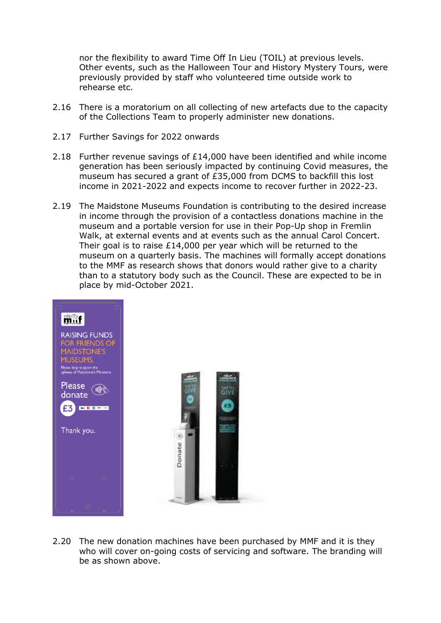nor the flexibility to award Time Off In Lieu (TOIL) at previous levels. Other events, such as the Halloween Tour and History Mystery Tours, were previously provided by staff who volunteered time outside work to rehearse etc.

- 2.16 There is a moratorium on all collecting of new artefacts due to the capacity of the Collections Team to properly administer new donations.
- 2.17 Further Savings for 2022 onwards
- 2.18 Further revenue savings of £14,000 have been identified and while income generation has been seriously impacted by continuing Covid measures, the museum has secured a grant of £35,000 from DCMS to backfill this lost income in 2021-2022 and expects income to recover further in 2022-23.
- 2.19 The Maidstone Museums Foundation is contributing to the desired increase in income through the provision of a contactless donations machine in the museum and a portable version for use in their Pop-Up shop in Fremlin Walk, at external events and at events such as the annual Carol Concert. Their goal is to raise £14,000 per year which will be returned to the museum on a quarterly basis. The machines will formally accept donations to the MMF as research shows that donors would rather give to a charity than to a statutory body such as the Council. These are expected to be in place by mid-October 2021.



2.20 The new donation machines have been purchased by MMF and it is they who will cover on-going costs of servicing and software. The branding will be as shown above.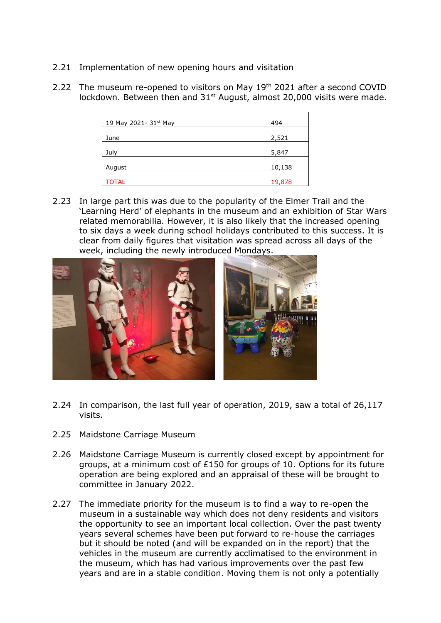- 2.21 Implementation of new opening hours and visitation
- 2.22 The museum re-opened to visitors on May 19<sup>th</sup> 2021 after a second COVID lockdown. Between then and 31<sup>st</sup> August, almost 20,000 visits were made.

| 19 May 2021- 31st May | 494    |
|-----------------------|--------|
| June                  | 2,521  |
| July                  | 5,847  |
| August                | 10,138 |
| TOTAL                 | 19,878 |

2.23 In large part this was due to the popularity of the Elmer Trail and the 'Learning Herd' of elephants in the museum and an exhibition of Star Wars related memorabilia. However, it is also likely that the increased opening to six days a week during school holidays contributed to this success. It is clear from daily figures that visitation was spread across all days of the week, including the newly introduced Mondays.



- 2.24 In comparison, the last full year of operation, 2019, saw a total of 26,117 visits.
- 2.25 Maidstone Carriage Museum
- 2.26 Maidstone Carriage Museum is currently closed except by appointment for groups, at a minimum cost of £150 for groups of 10. Options for its future operation are being explored and an appraisal of these will be brought to committee in January 2022.
- 2.27 The immediate priority for the museum is to find a way to re-open the museum in a sustainable way which does not deny residents and visitors the opportunity to see an important local collection. Over the past twenty years several schemes have been put forward to re-house the carriages but it should be noted (and will be expanded on in the report) that the vehicles in the museum are currently acclimatised to the environment in the museum, which has had various improvements over the past few years and are in a stable condition. Moving them is not only a potentially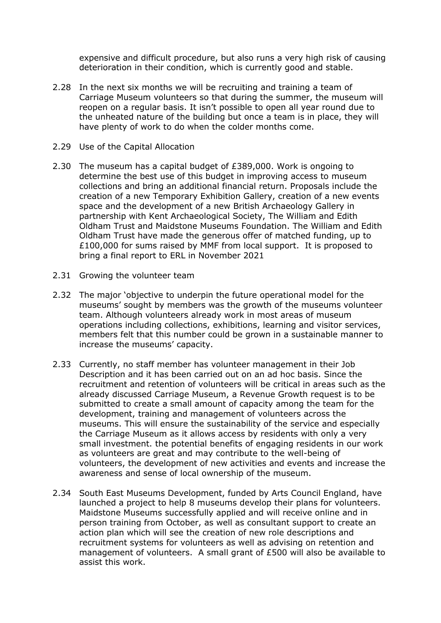expensive and difficult procedure, but also runs a very high risk of causing deterioration in their condition, which is currently good and stable.

- 2.28 In the next six months we will be recruiting and training a team of Carriage Museum volunteers so that during the summer, the museum will reopen on a regular basis. It isn't possible to open all year round due to the unheated nature of the building but once a team is in place, they will have plenty of work to do when the colder months come.
- 2.29 Use of the Capital Allocation
- 2.30 The museum has a capital budget of £389,000. Work is ongoing to determine the best use of this budget in improving access to museum collections and bring an additional financial return. Proposals include the creation of a new Temporary Exhibition Gallery, creation of a new events space and the development of a new British Archaeology Gallery in partnership with Kent Archaeological Society, The William and Edith Oldham Trust and Maidstone Museums Foundation. The William and Edith Oldham Trust have made the generous offer of matched funding, up to £100,000 for sums raised by MMF from local support. It is proposed to bring a final report to ERL in November 2021
- 2.31 Growing the volunteer team
- 2.32 The major 'objective to underpin the future operational model for the museums' sought by members was the growth of the museums volunteer team. Although volunteers already work in most areas of museum operations including collections, exhibitions, learning and visitor services, members felt that this number could be grown in a sustainable manner to increase the museums' capacity.
- 2.33 Currently, no staff member has volunteer management in their Job Description and it has been carried out on an ad hoc basis. Since the recruitment and retention of volunteers will be critical in areas such as the already discussed Carriage Museum, a Revenue Growth request is to be submitted to create a small amount of capacity among the team for the development, training and management of volunteers across the museums. This will ensure the sustainability of the service and especially the Carriage Museum as it allows access by residents with only a very small investment. the potential benefits of engaging residents in our work as volunteers are great and may contribute to the well-being of volunteers, the development of new activities and events and increase the awareness and sense of local ownership of the museum.
- 2.34 South East Museums Development, funded by Arts Council England, have launched a project to help 8 museums develop their plans for volunteers. Maidstone Museums successfully applied and will receive online and in person training from October, as well as consultant support to create an action plan which will see the creation of new role descriptions and recruitment systems for volunteers as well as advising on retention and management of volunteers. A small grant of £500 will also be available to assist this work.